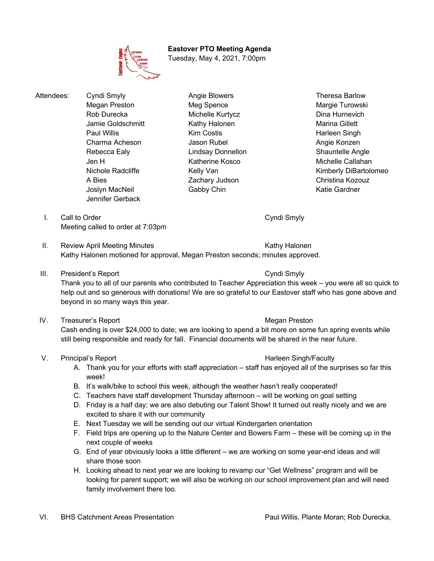# **Eastover PTO Meeting Agenda**

Tuesday, May 4, 2021, 7:00pm

Attendees: Cyndi Smyly **Angie Blowers** Angie Blowers Theresa Barlow Megan Preston **Meg Spence** Meg Spence Margie Turowski Rob Durecka **Michelle Kurtycz** Dina Hurnevich Jamie Goldschmitt Kathy Halonen Marina Gillett Paul Willis **No. 2018** Kim Costis **Harleen Singh** Harleen Singh Charma Acheson **Manuel Angie Konzen** Jason Rubel **Angie Konzen** Angie Konzen Rebecca Ealy **Rebecca Ealy** Lindsay Donnellon **Shauntelle Angle** Jen H Katherine Kosco Michelle Callahan Nichole Radcliffe Kelly Van Kimberly DiBartolomeo A Bies **Zachary Judson** Christina Kozouz Joslyn MacNeil **Gabby Chin** Captus Controller MacNeil Cardner Katie Gardner Jennifer Gerback

- 
- I. Call to Order Cyndi Smyly Meeting called to order at 7:03pm
- II. Review April Meeting Minutes **Kathy Halonen** Kathy Halonen Kathy Halonen motioned for approval, Megan Preston seconds; minutes approved.
- III. President's Report Cyndi Smyly

Thank you to all of our parents who contributed to Teacher Appreciation this week – you were all so quick to help out and so generous with donations! We are so grateful to our Eastover staff who has gone above and beyond in so many ways this year.

IV. Treasurer's Report **Megan Preston** Megan Preston

Cash ending is over \$24,000 to date; we are looking to spend a bit more on some fun spring events while still being responsible and ready for fall. Financial documents will be shared in the near future.

- V. Principal's Report **Harleen Singh/Faculty V.** Principal's Report
	- A. Thank you for your efforts with staff appreciation staff has enjoyed all of the surprises so far this week!
	- B. It's walk/bike to school this week, although the weather hasn't really cooperated!
	- C. Teachers have staff development Thursday afternoon will be working on goal setting
	- D. Friday is a half day; we are also debuting our Talent Show! It turned out really nicely and we are excited to share it with our community
	- E. Next Tuesday we will be sending out our virtual Kindergarten orientation
	- F. Field trips are opening up to the Nature Center and Bowers Farm these will be coming up in the next couple of weeks
	- G. End of year obviously looks a little different we are working on some year-end ideas and will share those soon
	- H. Looking ahead to next year we are looking to revamp our "Get Wellness" program and will be looking for parent support; we will also be working on our school improvement plan and will need family involvement there too.

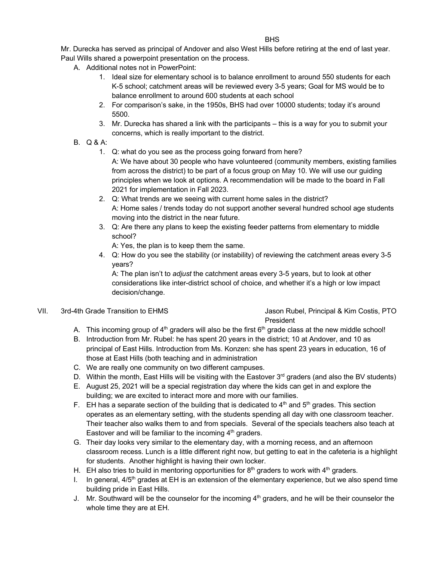Mr. Durecka has served as principal of Andover and also West Hills before retiring at the end of last year. Paul Wills shared a powerpoint presentation on the process.

- A. Additional notes not in PowerPoint:
	- 1. Ideal size for elementary school is to balance enrollment to around 550 students for each K-5 school; catchment areas will be reviewed every 3-5 years; Goal for MS would be to balance enrollment to around 600 students at each school
	- 2. For comparison's sake, in the 1950s, BHS had over 10000 students; today it's around 5500.
	- 3. Mr. Durecka has shared a link with the participants this is a way for you to submit your concerns, which is really important to the district.
- B. Q & A:
	- 1. Q: what do you see as the process going forward from here?

A: We have about 30 people who have volunteered (community members, existing families from across the district) to be part of a focus group on May 10. We will use our guiding principles when we look at options. A recommendation will be made to the board in Fall 2021 for implementation in Fall 2023.

- 2. Q: What trends are we seeing with current home sales in the district? A: Home sales / trends today do not support another several hundred school age students moving into the district in the near future.
- 3. Q: Are there any plans to keep the existing feeder patterns from elementary to middle school?
	- A: Yes, the plan is to keep them the same.
- 4. Q: How do you see the stability (or instability) of reviewing the catchment areas every 3-5 years?

A: The plan isn't to *adjust* the catchment areas every 3-5 years, but to look at other considerations like inter-district school of choice, and whether it's a high or low impact decision/change.

### VII. 3rd-4th Grade Transition to EHMS Jason Rubel, Principal & Kim Costis, PTO President

- A. This incoming group of  $4<sup>th</sup>$  graders will also be the first  $6<sup>th</sup>$  grade class at the new middle school!
- B. Introduction from Mr. Rubel: he has spent 20 years in the district; 10 at Andover, and 10 as principal of East Hills. Introduction from Ms. Konzen: she has spent 23 years in education, 16 of those at East Hills (both teaching and in administration
- C. We are really one community on two different campuses.
- D. Within the month, East Hills will be visiting with the Eastover 3<sup>rd</sup> graders (and also the BV students)
- E. August 25, 2021 will be a special registration day where the kids can get in and explore the building; we are excited to interact more and more with our families.
- F. EH has a separate section of the building that is dedicated to  $4<sup>th</sup>$  and  $5<sup>th</sup>$  grades. This section operates as an elementary setting, with the students spending all day with one classroom teacher. Their teacher also walks them to and from specials. Several of the specials teachers also teach at Eastover and will be familiar to the incoming  $4<sup>th</sup>$  graders.
- G. Their day looks very similar to the elementary day, with a morning recess, and an afternoon classroom recess. Lunch is a little different right now, but getting to eat in the cafeteria is a highlight for students. Another highlight is having their own locker.
- H. EH also tries to build in mentoring opportunities for  $8<sup>th</sup>$  graders to work with  $4<sup>th</sup>$  graders.
- I. In general,  $4/5<sup>th</sup>$  grades at EH is an extension of the elementary experience, but we also spend time building pride in East Hills.
- J. Mr. Southward will be the counselor for the incoming 4<sup>th</sup> graders, and he will be their counselor the whole time they are at EH.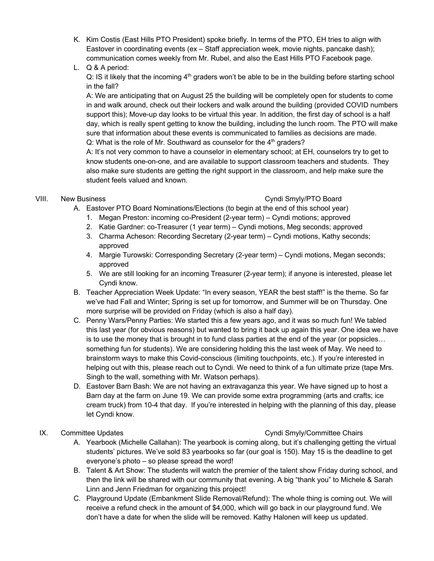- K. Kim Costis (East Hills PTO President) spoke briefly. In terms of the PTO, EH tries to align with Eastover in coordinating events (ex – Staff appreciation week, movie nights, pancake dash); communication comes weekly from Mr. Rubel, and also the East Hills PTO Facebook page.
- L. Q & A period:

 $Q: IS$  it likely that the incoming  $4<sup>th</sup>$  graders won't be able to be in the building before starting school in the fall?

A: We are anticipating that on August 25 the building will be completely open for students to come in and walk around, check out their lockers and walk around the building (provided COVID numbers support this); Move-up day looks to be virtual this year. In addition, the first day of school is a half day, which is really spent getting to know the building, including the lunch room. The PTO will make sure that information about these events is communicated to families as decisions are made. Q: What is the role of Mr. Southward as counselor for the  $4<sup>th</sup>$  graders?

A: It's not very common to have a counselor in elementary school; at EH, counselors try to get to know students one-on-one, and are available to support classroom teachers and students. They also make sure students are getting the right support in the classroom, and help make sure the student feels valued and known.

### VIII. New Business **Cyndi Smyly/PTO Board**

A. Eastover PTO Board Nominations/Elections (to begin at the end of this school year)

- 1. Megan Preston: incoming co-President (2-year term) Cyndi motions; approved
- 2. Katie Gardner: co-Treasurer (1 year term) Cyndi motions, Meg seconds; approved
- 3. Charma Acheson: Recording Secretary (2-year term) Cyndi motions, Kathy seconds; approved
- 4. Margie Turowski: Corresponding Secretary (2-year term) Cyndi motions, Megan seconds; approved
- 5. We are still looking for an incoming Treasurer (2-year term); if anyone is interested, please let Cyndi know.
- B. Teacher Appreciation Week Update: "In every season, YEAR the best staff!" is the theme. So far we've had Fall and Winter; Spring is set up for tomorrow, and Summer will be on Thursday. One more surprise will be provided on Friday (which is also a half day).
- C. Penny Wars/Penny Parties: We started this a few years ago, and it was so much fun! We tabled this last year (for obvious reasons) but wanted to bring it back up again this year. One idea we have is to use the money that is brought in to fund class parties at the end of the year (or popsicles… something fun for students). We are considering holding this the last week of May. We need to brainstorm ways to make this Covid-conscious (limiting touchpoints, etc.). If you're interested in helping out with this, please reach out to Cyndi. We need to think of a fun ultimate prize (tape Mrs. Singh to the wall, something with Mr. Watson perhaps).
- D. Eastover Barn Bash: We are not having an extravaganza this year. We have signed up to host a Barn day at the farm on June 19. We can provide some extra programming (arts and crafts; ice cream truck) from 10-4 that day. If you're interested in helping with the planning of this day, please let Cyndi know.

# IX. Committee Updates Chairs Cyndi Smyly/Committee Chairs

- A. Yearbook (Michelle Callahan): The yearbook is coming along, but it's challenging getting the virtual students' pictures. We've sold 83 yearbooks so far (our goal is 150). May 15 is the deadline to get everyone's photo – so please spread the word!
- B. Talent & Art Show: The students will watch the premier of the talent show Friday during school, and then the link will be shared with our community that evening. A big "thank you" to Michele & Sarah Linn and Jenn Friedman for organizing this project!
- C. Playground Update (Embankment Slide Removal/Refund): The whole thing is coming out. We will receive a refund check in the amount of \$4,000, which will go back in our playground fund. We don't have a date for when the slide will be removed. Kathy Halonen will keep us updated.